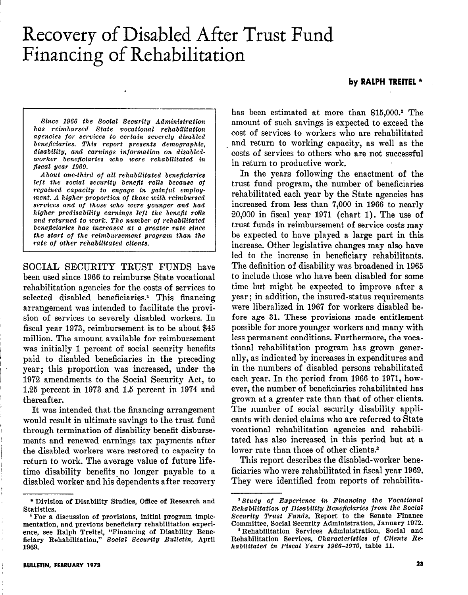# Recovery of Disabled After Trust Fund Financing of Rehabilitation

## by RALPH TREITEL \*

Bince 1966 the Social Becurity Administration has reimbursed State vocational rehabilitation agencies for services to certain severely disabled beneficiaries. TAis report presents demographic, disability, and earnings information on diaabledworker beneficiaries who were rehabilitated in fiscal year 1969.

I 1

.

About one-third of all rehabilitated beneficiaries left the social security benefit rolls because of regained capacity to engage in gainful employment. A higher proportion of those with reimbursed services and of those who were younger and had higher prediaability earnings left the benefit rolls and returned to work. The number of rehabilitated beneflciariea has increased at a greater rate since the start of the reimbursement program than the rate of other rehabilitated clients.

SOCIAL SECURITY TRUST FUNDS have been used since 1966 to reimburse State vocational rehabilitation agencies for the costs of services to selected disabled beneficiaries.<sup>1</sup> This financing arrangement was intended to facilitate the provision of services to severely disabled workers. In fiscal year 1973, reimbursement is to be about \$45 million. The amount available for reimbursement was initially 1 percent of social security benefits paid to disabled beneficiaries in the preceding year; this proportion was increased, under the 1972 amendments to the Social Security Act, to 1.25 percent in 1973 and 1.5 percent in 1974 and thereafter.

It was intended that the financing arrangement would result in ultimate savings to the trust fund through termination of disability benefit disbursements and renewed earnings tax payments after the disabled workers were restored to capacity to return to work. The average value of future lifetime disability benefits no longer payable to a disabled worker and his dependents after recovery

has been estimated at more than \$15,000.<sup>2</sup> The amount of such savings is expected to exceed the cost of services to workers who are rehabilitated and return to working capacity, as well as the costs of services to others who are not successful in return to productive work.

In the years following the enactment of the trust fund program, the number of beneficiaries rehabilitated each year by the State agencies has increased from less than 7,000 in 1966 to nearly 20,000 in fiscal year 1971 (chart 1). The use of trust funds in reimbursement of service costs may be expected to have played a large part in this increase. Other legislative changes may also have led to the increase in beneficiary rehabilitants. The definition of disability was broadened in 1965 to include those who have been disabled for some time but might be expected to improve after a year; in addition, the insured-status requirements were liberalized in 1967 for workers disabled before age 31. These provisions made entitlement possible for more younger workers and many with less permanent conditions. Furthermore, the vocational rehabilitation program has grown generally, as indicated by increases in expenditures and in the numbers of disabled persons rehabilitated each year. In the period from 1966 to 1971, however, the number of beneficiaries rehabilitated has grown at a greater rate than that of other clients. The number of social security disability applicants with denied claims who are referred to State vocational rehabilitation agencies and rehabilitated has also increased in this period but at a lower rate than those of other clients.<sup>3</sup>

This report describes the disabled-worker beneficiaries who were rehabilitated in fiscal year 1969. They were identified from reports of rehabilita-

<sup>\*</sup> Division of Disability Studies, Office of Research and Statistics.

<sup>&#</sup>x27;For a discussion of provisions, initial program implementation, and previous beneficiary rehabilitation experience, see Ralph Treitel, "Financing of Disability Beneficiary Rehabilitation," Social Security Bulletin, Apr 1969.

 $^2$  Study of Experience in Financing the Vocational Rchabilitation of Disability Beneficiaries from the Social Security Truet Funds, Report to the Senate Finance Committee, Social Security Administration, January 1972.

<sup>&</sup>lt;sup>8</sup> Rehabilitation Services Administration, Social and Rehabilitation Services, Characteristics of Clients Rehabilitated in Fiscal Years 1966-1970, table 11.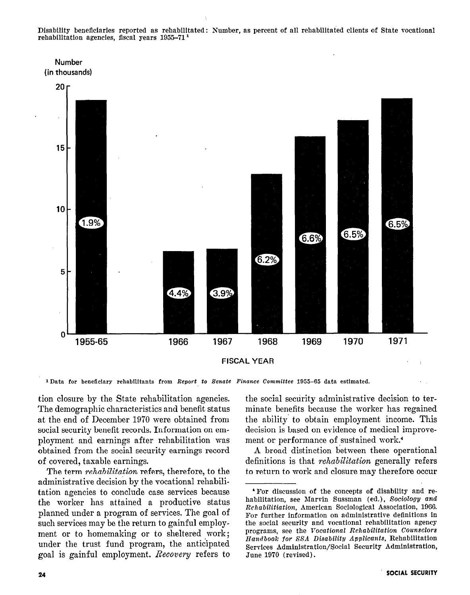Disability beneficiaries reported as rehabilitated: Number, as percent of all rehabilitated clients of State vocational rehabilitation agencies, fiscal years 1955-71'





<sup>1</sup> Data for beneficiary rehabilitants from Report to Senate Finance Committee 1955-65 data estimated.

tion closure by the State rehabilitation agencies. The demographic characteristics and benefit status at the end of December 1970 were obtained from social security benefit records. Information on employment and earnings after rehabilitation was obtained from the social security earnings record of covered, taxable earnings.

The term *rehabilitation* refers, therefore, to the administrative decision by the vocational rehabilitation agencies to conclude case services because the worker has attained a productive status planned under a program of services. The goal of such services may be the return to gainful employment or to homemaking or to sheltered work; under the trust fund program, the anticipated goal is gainful employment. Recovery refers to the social security administrative decision to terminate benefits because the worker has regained the ability to obtain employment income. This decision is based on evidence of medical improvement or performance of sustained work.<sup>4</sup>

A broad distinction between these operational definitions is that *rehabilitation* generally refers to return to work and closure may therefore occur

4For discussion of the concepts of disability and re-

<sup>&#</sup>x27;For discussion of the concepts of disability and rehabilitation, see Marvin Sussman (ed.), Sociology and Rehabilitiation, American Sociological Association, 1966. For further information on administrative definitions in the social security and vocational rehabilitation agency programs, see the Vocational Rehabilitation Counselors Handbook for SSA Disability Applicants, Rehabilitation Services Administration/Social Security Administration. June 1970 (revised).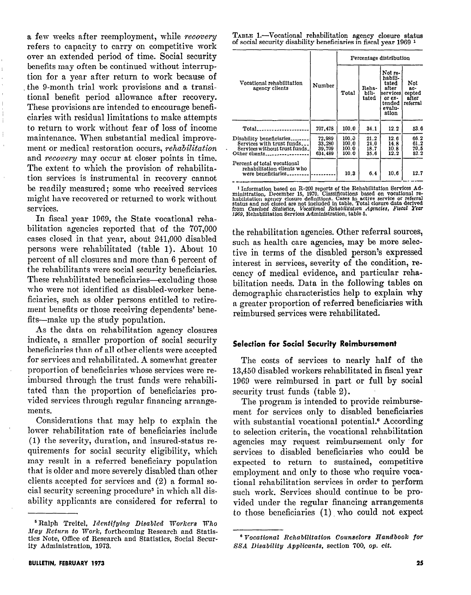a few weeks after reemployment, while recovery refers to capacity to carry on competitive work over an extended period of time. Social security benefits may often be continued without interruption for a year after return to work because of . the g-month trial work provisions and a transitional benefit period allowance after recovery. These provisions are intended to encourage beneficiaries with residual limitations to make attempts to return to work without fear of loss of income maintenance. When substantial medical improvement or medical restoration occurs, *rehabilitation* and recovery may occur at closer points in time. The extent to which the provision of rehabilitation services is instrumental in recovery cannot be readily measured; some who received services might have recovered or returned to work without services.

In fiscal year 1969, the State vocational rehabilitation agencies reported that of the 707,000 cases closed in that year, about 241,000 disabled persons were rehabilitated (table 1). About 10 percent of all closures and more than 6 percent of the rehabilitants mere social security beneficiaries. These rehabilitated beneficiaries-excluding those who were not identified as disabled-worker beneficiaries, such as older persons entitled to retirement benefits or those receiving dependents' benefits-make up the study population.

As the data on rehabilitation agency closures indicate, a smaller proportion of social security beneficiaries than of all other clients were accepted for services and rehabilitated. A somewhat greater proportion of beneficiaries whose services were reimbursed through the trust funds were rehabilitated than the proportion of beneficiaries provided services through regular financing arrangements.

Considerations that may help to explain the lower rehabilitation rate of beneficiaries include (1) the severity, duration, and insured-status requirements for social security eligibility, which may result in a referred beneficiary population that is older and more severely disabled than other clients accepted for services and (2) a formal social security screening procedure<sup>s</sup> in which all disability applicants are considered for referral to

TABLE 1.-Vocational rehabilitation agency closure status of social security disability beneficiaries in fiscal year 1969 1

|                                                                                                          |                                       | Percentage distribution          |                              |                                                                                           |                                             |  |
|----------------------------------------------------------------------------------------------------------|---------------------------------------|----------------------------------|------------------------------|-------------------------------------------------------------------------------------------|---------------------------------------------|--|
| Vocational rehabilitation<br>agency clients                                                              | Number                                | Total                            | Reha-<br>bili-<br>tated      | Not re-<br>habili-<br>tated<br>after<br> services <br>or ex-<br>tended<br>evalu-<br>ation | Not<br>$ac-$<br>cepted<br>after<br>referral |  |
| Total                                                                                                    | 707,478                               | 100.0                            | 34.1                         | 12.2                                                                                      | 53.6                                        |  |
| Disability beneficiaries.<br>Services with trust funds<br>Services without trust funds.<br>Other clients | 72,989<br>33,280<br>39,709<br>634,489 | 100.3<br>100.0<br>100.0<br>100.0 | 21.2<br>21.0<br>18.7<br>35.6 | 12.6<br>14.8<br>10.8<br>12.2                                                              | 66.2<br>61.2<br>70.5<br>52.2                |  |
| Percent of total vocational<br>rehabilitation clients who<br>were beneficiaries                          |                                       | 10.3                             | 6.4                          | 10.6                                                                                      | 12.7                                        |  |

<sup>1</sup> Information based on R-200 reports of the Rehabilitation Services Administration, December 15, 1970. Classifications based on vocational relationships habilitation agency closure definitions. Cases in active service o

the rehabilitation agencies. Other referral sources, such as health care agencies, may be more selective in terms of the disabled person's expressed interest in services, severity of the condition, recency of medical evidence, and particular rehabilitation needs. Data in the following tables on demographic' characteristics help to explain why a greater proportion of referred beneficiaries with reimbursed services were rehabilitated.

# Selection for Social Security Reimbursement

The costs of services to nearly half of the 13,450 disabled workers rehabilitated in fiscal year 1969 were reimbursed in part or full by social security trust funds (table 2).

The program is intended to provide reimbursement for services only to disabled beneficiaries with substantial vocational potential.<sup>6</sup> According to selection criteria, the vocational rehabilitation agencies may request reimbursement only for services to disabled beneficiaries who could be expected to return to sustained, competitive employment and only to those who require vocational rehabilitation services in order to perform such work. Services should continue to be provided under the regular financing arrangements to those beneficiaries (1) who could not expect

<sup>&#</sup>x27; Ralph Treitel, Identifying Disabled Workers Who Nag Return to Work, forthcoming Research and Statisties Note, Office of Research and Statistics, Social Security Administration, 1973.

<sup>&</sup>lt;sup>6</sup> Vocational Rehabilitation Counselors Handbook for SSA Disability Applicants, section 700, op. cit.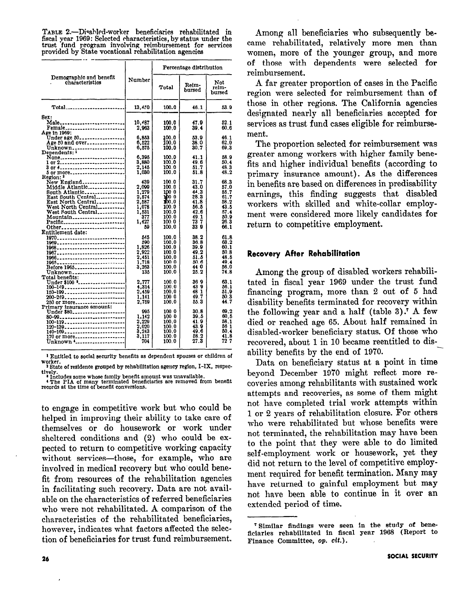TABLE 2.-Disabled-worker beneficiaries rehabilitated in fiscal year 1969: Selected characteristics, by status under the trust fund program involving reimbursement for services provided by State vocational rehabilitation agencies

|                                                                                                                                                                                                                                                                                                                                                                                                          |                                                                                                                                                                                                                                     | Percentage distribution                                                                                                                                                                                                                         |                                                                                                                                                                                                                      |                                                                                                                                                                                                                      |
|----------------------------------------------------------------------------------------------------------------------------------------------------------------------------------------------------------------------------------------------------------------------------------------------------------------------------------------------------------------------------------------------------------|-------------------------------------------------------------------------------------------------------------------------------------------------------------------------------------------------------------------------------------|-------------------------------------------------------------------------------------------------------------------------------------------------------------------------------------------------------------------------------------------------|----------------------------------------------------------------------------------------------------------------------------------------------------------------------------------------------------------------------|----------------------------------------------------------------------------------------------------------------------------------------------------------------------------------------------------------------------|
| Demographic and benefit<br>characteristics                                                                                                                                                                                                                                                                                                                                                               | Number                                                                                                                                                                                                                              | Total                                                                                                                                                                                                                                           | Reim-<br>bursed                                                                                                                                                                                                      | Not<br>reim-<br>bursed                                                                                                                                                                                               |
| $Total$ <sub>------------------------</sub>                                                                                                                                                                                                                                                                                                                                                              | 13.450                                                                                                                                                                                                                              | 100.0                                                                                                                                                                                                                                           | 46.1                                                                                                                                                                                                                 | 53.9                                                                                                                                                                                                                 |
| Sex:<br>Male<br>Female<br>Age in 1969:<br>Under age 50<br>Age 50 and over<br>1 or 2<br>3 or 4<br>5 or more<br>Region: <sup>2</sup><br>New England<br>Middle Atlantic<br>South Atlantic<br>East South Central<br>East North Central<br>West North Central<br>West South Central<br>Mountain<br>Pacific<br>Other<br>Entitlement date:<br>1970<br>1968<br>1966<br>Before 1965<br>Unknown<br>Total benefits: | 10,487<br>2.963<br>6,853<br>6,522<br>6.575<br>6,395<br>3.880<br>2,145<br>1,030<br>439<br>2,099<br>1.279<br>2,574<br>2,587<br>1,078<br>1,531<br>377<br>1.427<br>59<br>345<br>590<br>1,826<br>2.922<br>2,451<br>1.718<br>3,263<br>135 | 100.0<br>100.0<br>100.0<br>100.0<br>100.0<br>100.0<br>100.0<br>100.0<br>100.0<br>100.0<br>100. በ<br>100 0<br>100 O<br>100.0<br>100.0<br>100.0<br>100.0<br>100.0<br>100.0<br>100.0<br>100.0<br>100.0<br>100.0<br>100.0<br>1000<br>100.0<br>100.0 | 47.9<br>39.4<br>53.9<br>38.0<br>30.7<br>41.1<br>49.6<br>51.7<br>51.8<br>31.7<br>43.0<br>44.3<br>28.3<br>41.8<br>56.5<br>42.6<br>49.1<br>73 7<br>33 9<br>38.2<br>36.8<br>39.9<br>49.2<br>51.5<br>50.6<br>44 0<br>25.2 | 52.1<br>60.6<br>46.1<br>62.0<br>69.3<br>58.9<br>50.4<br>48.3<br>48.2<br>68.3<br>57.0<br>55.7<br>61.7<br>58.2<br>43.5<br>57.4<br>50.9<br>26.3<br>66.1<br>61.8<br>63.2<br>60.1<br>50.8<br>48.5<br>49.4<br>56.0<br>74.8 |
| Under \$100 *<br>100-149<br>150-199<br>200-249<br>250 or more<br>Primary insurance amount:                                                                                                                                                                                                                                                                                                               | 2,777<br>4,314<br>2,459<br>1.141<br>2.759                                                                                                                                                                                           | 100.0<br>100.0<br>100.0<br>100 0<br>100.0                                                                                                                                                                                                       | 36 9<br>439<br>48 1<br>49.7<br>55.3                                                                                                                                                                                  | 63.1<br>56.1<br>51.9<br>50.3<br>44. 7                                                                                                                                                                                |
| Under \$80<br>80-99<br>100-119<br>120-139<br>140-169<br>170 or more<br>Unknown 4                                                                                                                                                                                                                                                                                                                         | 995<br>1.142<br>2,229<br>$\frac{2,020}{3,243}$<br>3.117<br>704                                                                                                                                                                      | 100 0<br>100 0<br>100.0<br>100.0<br>100.0<br>100.0<br>100.0                                                                                                                                                                                     | 30.8<br>39.5<br>41.9<br>43.9<br>49.6<br>58.2<br>27.3                                                                                                                                                                 | 69.2<br>60.5<br>58.1<br>56 1<br>50.4<br>41.8<br>72 7                                                                                                                                                                 |

1 Entitled to social security benefits as dependent spouses or children of

worker.<br>State of residence grouped by rehabilitation agency region, I-IX, respected as

tively. \* Includes some whose family beneflt amount wss unavailable. 4 The PIA of many terminated beneficiaries are removed fmm benefit records at the time of benefit conversions.

to engage in competitive work but who could be helped in improving their ability to take care of them&Ives or do housework or work under sheltered conditions and (2) who could be expected to return to competitive working capacity without services-those, for example, who are involved in medical recovery but who'could benefit from resources of the rehabilitation agencies in facilitating such recovery. Data are not available on the characteristics of referred beneficiaries who were not rehabilitated. A comparison of the characteristics of the rehabilitated beneficiaries, however, indicates what factors affected the selection of beneficiaries for trust fund reimbursement.

Among all beneficiaries who subsequently became rehabilitated, relatively more men than women, more of the younger group, and more of those with dependents were selected for reimbursement.

A far greater proportion of cases in the Pacific region were selected for reimbursement than of those in other regions. The California agencies designated nearly all beneficiaries accepted for services as trust fund cases eligible for reimbursement.

The proportion selected for reimbursement was greater among workers with higher family benefits and higher individual benefits (according to primary insurance amount). As the differences in benefits are based on differences in predisability earnings, this finding suggests that disabled workers with skilled and white-collar employment were considered more likely candidates for return to competitive employment.

# Recovery After Rehabilitation

Among the group of disabled workers rehabilitated in fiscal year 1969 under the trust fund financing program, more than 2 out of 5 had disability benefits terminated for recovery within the following year and a half (table  $3$ ).<sup>7</sup> A few died or reached age 65. About half remained in disabled-worker beneficiary status. Of those who recovered, about 1 in 10 became reentitled to disability benefits by the end of 1970.

Data on beneficiary status at a point in time beyond December 1970 might reflect more recoveries among rehabilitants with sustained work attempts and recoveries, as some of them might not, have completed trial work attempts within 1 or 2 years of rehabilitation closure. For others who were rehabilitated but whose benefits were not terminated, the rehabilitation may have been to the point that they were able to do limited self-employment work or housework, yet they did not return to the level of competitive employment required for benefit termination. Many may have returned to gainful employment but may not have been able to continue in it over an extended period of time.

<sup>7</sup> Similar findings were seen in the study of beneficiaries rehabilitated in fiscal year 1968 (Report to Finance Committee, op. cit.).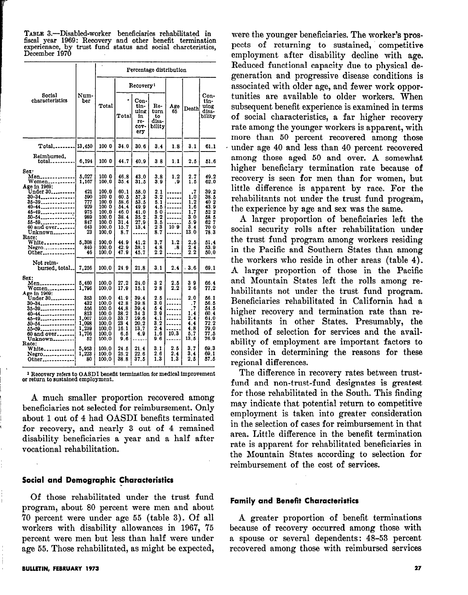| TABLE 3.-Disabled-worker beneficiaries rehabilitated in                       |  |  |
|-------------------------------------------------------------------------------|--|--|
| fiscal year 1969: Recovery and other benefit termination                      |  |  |
| experienace, by trust fund status and social charcteristics,<br>December 1970 |  |  |
|                                                                               |  |  |

|                                                                                                                                                                                        |                                                                    |                                                                               |                                                                     |                                                              | Percentage distribution                                                                                                  |                   |                                                                               |                                                                            |
|----------------------------------------------------------------------------------------------------------------------------------------------------------------------------------------|--------------------------------------------------------------------|-------------------------------------------------------------------------------|---------------------------------------------------------------------|--------------------------------------------------------------|--------------------------------------------------------------------------------------------------------------------------|-------------------|-------------------------------------------------------------------------------|----------------------------------------------------------------------------|
|                                                                                                                                                                                        |                                                                    |                                                                               |                                                                     | Recovery <sup>1</sup>                                        |                                                                                                                          |                   |                                                                               |                                                                            |
| Social<br>characteristics                                                                                                                                                              | Num-<br>ber                                                        | Total                                                                         | ۰<br>Total                                                          | Con-<br>tin-<br>uing<br>in<br>re-<br>COV-<br>ery             | Re-<br>turn<br>to<br>disa-<br>bility                                                                                     | Age<br>65         | Death                                                                         | Con-<br>tin-<br>uing<br>disa-<br>bility                                    |
| Total                                                                                                                                                                                  | 13,450                                                             | 100 0                                                                         | 34.0                                                                | 30.6                                                         | 3.4                                                                                                                      | 1.8               | 3.1                                                                           | 61.1                                                                       |
| Reimbursed.<br>$total$                                                                                                                                                                 | 6,194                                                              | 100 0                                                                         | 44.7                                                                | 40.9                                                         | 38                                                                                                                       | 1.1               | 2.5                                                                           | 51.6                                                                       |
| Sex:<br>Men______________<br>$W$ omen<br>Age in 1969:                                                                                                                                  | 5,027<br>1,167                                                     | 100 0<br>100.0                                                                | 46.8<br>35.4                                                        | 43.0<br>31.5                                                 | 3.8<br>3.9                                                                                                               | 1.2<br>. 9        | 2.7<br>1.6                                                                    | 49.2<br>62.0                                                               |
| Under 30<br>30-34<br>35–39 <sub>–––––</sub> ––––––––<br>40-44<br>45-49 <sub>------</sub> ---------<br>50-54_____________<br>55-59 <sub>--------</sub> ------<br>60 and over<br>Unknown | 421<br>590<br>777<br>929<br>975<br>989<br>847<br>643<br>23         | 100.0<br>100 0<br>100.0<br>100 0<br>100.0<br>100.0<br>100.0<br>100.0<br>100.0 | 60.1<br>60.5<br>58.6<br>54.4<br>46.0<br>38.4<br>31.4<br>15.7<br>8.7 | 58.0<br>57.3<br>53.5<br>49.9<br>41.0<br>35.2<br>27.9<br>13.4 | $\frac{2}{3}$ .<br>5.1<br>4.5<br>$\begin{smallmatrix} 5 & 0 \\ 3 & 2 \end{smallmatrix}$<br>$3.\overline{5}$<br>23<br>8.7 | 10 9              | $\cdot$ <sub>7</sub><br>1.0<br>1.2<br>1.6<br>1.7<br>3.0<br>5.9<br>3.4<br>13.0 | 39.2<br>38.5<br>$\frac{40}{43}$ , 9<br>52 2<br>58 5<br>627<br>70 0<br>78.3 |
| Race:<br>White<br>Negro <sub>-------------</sub><br>Other                                                                                                                              | 5.308<br>840<br>46                                                 | 100.0<br>100.0<br>100.0                                                       | 44.9<br>42.9<br>47.9                                                | 41.2<br>38.1<br>45.7                                         | 3.7<br>4.8<br>2.2                                                                                                        | 1.2<br>.8         | 2.5<br>$\frac{2}{2}$ .                                                        | 51.4<br>53.9<br>50.0                                                       |
| Not reim-<br>bursed total.                                                                                                                                                             | 7.256                                                              | 100.0                                                                         | 24.9                                                                | 21.8                                                         | 3.1                                                                                                                      | 2.4               | $-3.6$                                                                        | 69.1                                                                       |
| Sex:<br><b>Men______________</b><br>Women<br>Age in 1969:                                                                                                                              | 5,460<br>1,796                                                     | 100.0<br>100.0                                                                | 27.2<br>17.9                                                        | 24.0<br>15.1                                                 | 32<br>28                                                                                                                 | 2.5<br>2.2        | 39<br>26                                                                      | 66.4<br>77.2                                                               |
| Under 30<br>$30 - 34$<br>35-39 <sub>----</sub> -----------<br>40-44______________<br>45-49<br>50–54<br>55-59<br>60 and over<br>Unknown <sub>-----</sub> ----<br>Race:                  | 353<br>432<br>556<br>813<br>1,007<br>1,098<br>1,239<br>1,706<br>52 | 100.0<br>100.0<br>100.0<br>100.0<br>100.0<br>100.0<br>100.0<br>100.0<br>100.0 | 41.9<br>42.8<br>44.8<br>38.2<br>33.7<br>23 4<br>16.1<br>6.5<br>9.6  | 39.4<br>39.8<br>39.4<br>34 3<br>29.6<br>20.2<br>13.7<br>4.9  | 2.5<br>3.0<br>54<br>3.9<br>4.1<br>3.2<br>2.4<br>1.6<br>9.6                                                               | 10.3              | 2,0<br>.7<br>. 7<br>1.4<br>2.4<br>4.4<br>4.8<br>5.7<br>13.5                   | 56.1<br>56.5<br>54.5<br>60.4<br>61.0<br>72.2<br>79.0<br>77.5<br>76.9       |
| White <sub>-----------</sub><br>Negro<br>Other                                                                                                                                         | 5,953<br>1,223<br>80                                               | 100.0<br>100.0<br>100.0                                                       | 24.5<br>25.2<br>38.8                                                | 21.4<br>22.6<br>37.5                                         | 3.1<br>26<br>1.3                                                                                                         | 2.5<br>2.4<br>1.3 | 3.7<br>3,4<br>2.5                                                             | 69.3<br>69.1<br>57.5                                                       |

1 Recovery refers to OASDI benefit termination for medical improvement or return to sustained employment.

A much smaller proportion recovered among beneficiaries not selected for reimbursement. Only about 1 out of 4 had OASDI benefits terminated for recovery, and nearly 3 out of 4 remained disability beneficiaries a year and a half after vocational rehabilitation.

#### Social and Demographic Characteristics

Of those rehabilitated under the trust fund program, about 80 percent were men and about '70 percent were under age 55 (table 3). Of all workers with disability allowances in 1967, 75 percent were men but less than half were under age 55. Those rehabilitated, as might be expected,

were the younger beneficiaries. The worker's prospects of returning to sustained, competitive employment after disability decline with age. Reduced functional capacity due to physical degeneration and progressive disease conditions is associated with older age, and fewer work opportunities are available to older workers. When subsequent benefit experience is examined in terms of social characteristics, a far higher recovery rate among the younger workers is apparent, with more than 50 percent recovered among those under age 40 and less than 40 percent recovered among those aged 50 and over. A somewhat higher beneficiary termination rate because of recovery is seen for men than for women, but little difference is apparent by race. For the rehabilitants not under the trust fund program, the experience by age and sex was the same.

A larger proportion of beneficiaries left the social security rolls after rehabilitation under the trust fund program among workers residing in the Pacific and Southern States than among the workers who reside in other areas (table 4). A larger proportion of those in the Pacific and Mountain States left the rolls among rehabilitants not under the trust fund program. Beneficiaries rehabilitated in California had a higher recovery and termination rate than rehabilitants in other States. Presumably, the method of selection for services and the availability of employment are important factors to consider in determining the reasons for these regional differences.

The difference in recovery rates between trustfund and non-trust-fund designates is greatest for those rehabilitated in the South. This finding may indicate that potential return to competitive employment is taken into greater consideration in the selection of cases for reimbursement in that area. Little difference in the benefit termination rate is apparent for rehabilitated beneficiaries in the Mountain States according to selection for reimbursement of the cost of services.

## Family and Benefit Characteristics

A greater proportion of benefit terminations because of recovery occurred among those with a spouse or several dependents: 48-53 percent recovered among those with reimbursed services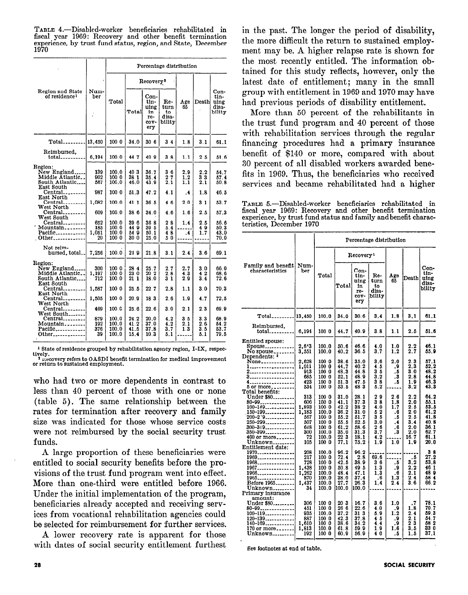TABLE 4.-Disabled-worker beneficiaries rehabilitated in fiscal year 1969: Recovery and other benefit termination experience, by trust fund status, region, and State, December 1970

|                                                                                |                                  | Percentage distribution                   |                                    |                                                  |                                      |                              |                               |                                         |
|--------------------------------------------------------------------------------|----------------------------------|-------------------------------------------|------------------------------------|--------------------------------------------------|--------------------------------------|------------------------------|-------------------------------|-----------------------------------------|
| Region and State<br>of residence <sup>1</sup>                                  |                                  |                                           |                                    | Recovery?                                        |                                      |                              |                               |                                         |
|                                                                                | Num-<br>ber                      | Total                                     | Totall                             | Con-<br>tin-<br>uing<br>in<br>re-<br>cov-<br>ery | Re-<br>turn<br>to<br>disa-<br>bility | Age<br>65                    | Death                         | Con-<br>tin-<br>uing<br>disa-<br>bility |
| $Total$                                                                        | 13.450                           | 100 0                                     | 34.0                               | 306                                              | $3\,4$                               | 1.8                          | 3.1                           | 61.1                                    |
| Reimbursed,<br>$total$                                                         | 6,194                            | 100.0                                     | 447                                | 409                                              | 38                                   | 1.1                          | $2\,5$                        | 51.6                                    |
| Region:<br>New England.<br>Middle Atlantic<br>South Atlantic<br>East South     | 139<br>902<br>567                | 100.0<br>100 0<br>100.0                   | 403<br>38 1<br>46.0                | 36.7<br>35.4<br>43.9                             | 36<br>$\frac{2}{2}$ , $\frac{7}{1}$  | 2.9<br>$1.2\,$<br>1.1        | 2,2<br>33<br>2.1              | 54.7<br>57.4<br>50.8                    |
| Central<br>East North                                                          | 987                              | 100 0                                     | 51.3                               | 47.2                                             | 4.1                                  | .4                           | 1.8                           | 46.5                                    |
| $Central$ <sub>--------</sub><br>West North                                    | 1,082                            | 100.0                                     | 41 1                               | 36.5                                             | 46                                   | 2.0                          | 31                            | 53.7                                    |
| Central<br>West South<br>Central<br>Mountain<br>Pacific____________<br>. Other | 609<br>652<br>185<br>1,051<br>20 | 100.0<br>100.0<br>100.0<br>100.0<br>100 0 | 38 6<br>396<br>44 9<br>54 9<br>300 | 34.0<br>36 8<br>39 5<br>50.1<br>25.0             | 4.6<br>28<br>5.4<br>48<br>50         | 1.6<br>1.4<br>$\cdot$        | 2.5<br>2.5<br>49<br>1.7       | 57.3<br>56.6<br>50.3<br>43.0<br>70.0    |
| Not reim-<br>bursed. total                                                     | 7.256                            | 100.0                                     | 249                                | 21.8                                             | 3.1                                  | 2.4                          | 3.6                           | 69.1                                    |
| Region:<br>New England.<br>Middle Atlantic<br>South Atlantic<br>East South     | 300<br>1,197<br>712              | 100 0<br>100 0<br>100.0                   | 28 4<br>23 0<br>21 1               | 25.7<br>20 <sub>2</sub><br>18.0                  | 2.7<br>2.8<br>$3\overline{1}$        | 2.7<br>4.3<br>2.9            | 3.0<br>42<br>$3.\overline{4}$ | 66.0<br>68.6<br>72.6                    |
| Central<br>East North                                                          | 1,587                            | 100 0                                     | 25.5                               | 227                                              | 2.8                                  | 1.1                          | 3.0                           | 70.3                                    |
| Central_<br>West North                                                         | 1,505                            | 100 0                                     | 20.9                               | 183                                              | 2.6                                  | 1.9                          | 4.7                           | 72.5                                    |
| $Central$ <sub>--------</sub><br>West South<br>Central<br>Mountain             | 469<br>879<br>192                | 100. G<br>100.0<br>100.0                  | 25.6<br>24.2<br>41.2               | 22.6<br>20.0<br>37.0                             | 3.0<br>4.2<br>4.2                    | 2.1<br>3 <sub>5</sub><br>2.1 | 2.3<br>3.3<br>2.6             | 69.9<br>68.9<br>54.2                    |
| Pacific<br>Other                                                               | 376<br>39                        | 100.0<br>100.0                            | 41.5<br>15.4                       | 37.8<br>10.3                                     | 3.7<br>5.1                           | 1.3                          | 3.5<br>5.1                    | 53.7<br>79.5                            |

<sup>1</sup> State of residence grouped by rehabilitation agency region, I-IX, respec-

tively.<br>
<sup>3</sup> its covery refers to OASDI benefit termination for medical improvement<br>
or return to sustained employment.

who had two or more dependents in contrast to less than 40 percent of those with one or none (table 5). The same relationship between the rates for termination after recovery and family size was indicated for those whose service costs were not reimbursed by the social security trust funds.

A large proportion of these beneficiaries were entitled to social security benefits before the provisions of the trust fund program went into effect. More than one-third were entitled before 1966. Under the initial implementation of the program. beneficiaries already accepted and receiving services from vocational rehabilitation agencies could be selected for reimbursement for further services.

A lower recovery rate is apparent for those with dates of social security entitlement furthest in the past. The longer the period of disability, the more difficult the return to sustained employment may be. A higher relapse rate is shown for the most recently entitled. The information obtained for this study reflects, however, only the latest date of entitlement; many in the small group with entitlement in 1969 and 1970 may have had previous periods of disability entitlement.

More than 50 percent of the rehabilitants in the trust fund program and 40 percent of those with rehabilitation services through the regular financing procedures had a primary insurance benefit of \$140 or more, compared with about 30 percent of all disabled workers awarded benefits in 1969. Thus, the beneficiaries who received services and became rehabilitated had a higher

TABLE 5.-Disabled-worker beneficiaries rehabilitated in fiscal year 1969: Recovery and other benefit termination<br>experience, by trust fund status and family and benefit characteristics, December 1970

|                                                                                                                                                                                                                      |                                                                       | Percentage distribution                                                                |                                                                              |                                                                              |                                                                                           |                                                          |                                                                     |                                                                              |
|----------------------------------------------------------------------------------------------------------------------------------------------------------------------------------------------------------------------|-----------------------------------------------------------------------|----------------------------------------------------------------------------------------|------------------------------------------------------------------------------|------------------------------------------------------------------------------|-------------------------------------------------------------------------------------------|----------------------------------------------------------|---------------------------------------------------------------------|------------------------------------------------------------------------------|
| Family and benefit<br>characteristics                                                                                                                                                                                |                                                                       |                                                                                        |                                                                              | Recovery <sup>1</sup>                                                        |                                                                                           |                                                          |                                                                     |                                                                              |
|                                                                                                                                                                                                                      | Num-<br>ber                                                           | Total                                                                                  | Total                                                                        | Con-<br>tin-<br>uing<br>1n<br>re-<br>COV-<br>ery                             | Re-<br>turn<br>to<br>disa-<br>bility                                                      | Age<br>65                                                | Death                                                               | Con-<br>tin-<br>uing<br>disa-<br>bility                                      |
| $Total$                                                                                                                                                                                                              | 13,450                                                                | 100.0                                                                                  | 34.0                                                                         | 30.6                                                                         | 3.4                                                                                       | 1.8                                                      | 3.1                                                                 | 61,1                                                                         |
| Reimbursed,<br>total <sub>---------</sub>                                                                                                                                                                            | 6,194                                                                 | 100 0                                                                                  | 44.7                                                                         | 40.9                                                                         | 3.8                                                                                       | 1.1                                                      | 2.5                                                                 | 51.6                                                                         |
| <b>Entitled spouse:</b><br>Spouse <sub>------------</sub><br>No spouse                                                                                                                                               | 2,643<br>3,551                                                        | 100.0<br>100.0                                                                         | 50.6<br>40.2                                                                 | 46.6<br>36.5                                                                 | 4.0<br>3.7                                                                                | 1.0<br>1.2                                               | $\frac{2.2}{2.7}$                                                   | 46.1<br>55.9                                                                 |
| None_____________<br>1<br>2.<br>3.<br>4.<br>5 or more <sub>--------</sub>                                                                                                                                            | 2,628<br>1,011<br>913<br>685<br>423<br>534                            | 100 0<br>1000<br>100 0<br>100 0<br>100 0<br>100 0                                      | 38.6<br>44.7<br>48.3<br>52.1<br>51.3<br>53.5                                 | 35.0<br>40.2<br>44.8<br>48.9<br>47.5<br>483                                  | 3.6<br>4.5<br>35<br>3.2<br>38<br>5.2                                                      | $_{2.0}$<br>9.<br>. 5<br>$\cdot$<br>. 5                  | 2.3<br>2.3<br>3.0<br>2.8<br>1.9<br>3.2                              | 57.1<br>52.2<br>48.2<br>44.8<br>46.3<br>43.3                                 |
| Total benefits:<br>Under \$80<br>$80 - 99$ --------------<br>100-149<br>$150 - 199$ ------------<br>$200 - 2.9$ ------------<br>$250 - 299$<br>300-349 <sub>--------</sub> ----<br>350-399<br>400 or more<br>Unknown | 313<br>606<br>1,893<br>1,183<br>567<br>507<br>618<br>300<br>72<br>105 | 100 0<br>100 0<br>100 0<br>100.0<br>100 0<br>100 0<br>100 0<br>100.0<br>100.0<br>100 0 | 31.0<br>41.1<br>42.2<br>36.2<br>55.2<br>55.5<br>61.2<br>35.0<br>22 3<br>77.1 | 28.1<br>37.3<br>38 2<br>31.0<br>51.7<br>52.5<br>58.6<br>31.3<br>18.1<br>75.2 | 29<br>38<br>4.0<br>52<br>$\frac{3}{3}$ , $\frac{5}{0}$<br>$\frac{2}{3}$ , 7<br>4.2<br>1.9 | 2.6<br>1.8<br>1.7<br>.6<br>. 5<br>.4<br>. 6<br>.3<br>1.0 | 2.2<br>2.0<br>2.5<br>2.0<br>2.5<br>3.4<br>2.0<br>2.0<br>16.7<br>1.9 | 64.2<br>55.1<br>53.5<br>61.2<br>41.8<br>40.8<br>36.1<br>62.7<br>61.1<br>20.0 |
| Entitlement date:<br>1970---------------<br>1969<br>$1968$ ---------------<br>1967<br>1966<br>1965 <sub>-----</sub> -----------<br>Before 1965<br>Unknown<br>Primary insurance                                       | 208<br>217<br>728<br>1,438<br>1,262<br>870<br>1,437<br>34             | 100.0<br>100 0<br>100 0<br>100 0<br>100.0<br>100.0<br>100.0<br>100.0                   | 96.2<br>72.4<br>42.5<br>50.8<br>48.4<br>38.0<br>27.7<br>100.0                | 96.2<br>2.8<br>38.9<br>49 5<br>47.1<br>37.4<br>26.3<br>100.0                 | 69.6<br>36<br>1.3<br>1.3<br>. 6<br>1.4                                                    | . 5<br>9.<br>. 6<br>1.3<br>2.4                           | . 5<br>3.2<br>2.2<br>2.1<br>2.4<br>3.6                              | 38<br>27.2<br>53.8<br>46 1<br>48 0<br>58 4<br>66.2                           |
| amount:<br>Under \$80<br>80-99<br>$100 - 119$<br>120-139<br>140-169<br>$170$ or more<br>Unknown                                                                                                                      | 306<br>451<br>935<br>887<br>1,610<br>1,813<br>192                     | 100 0<br>100 0<br>100.0<br>100 0<br>100 0<br>100.0<br>100 0                            | 203<br>26 6<br>37.2<br>42.3<br>38.6<br>61.8<br>60.9                          | 16.7<br>22.6<br>31 3<br>37.8<br>34.2<br>59.9<br>56.9                         | 3.6<br>4.0<br>5.9<br>45<br>4.4<br>1.9<br>40                                               | 1.0<br>$^{+9}_{1.2}$<br>.9<br>9.<br>1.6<br>. 5           | .7<br>1.8<br>2.4<br>2.1<br>$\frac{5}{3}$ $\frac{3}{5}$<br>1.5       | 78.1<br>70.7<br>59.3<br>54.7<br>58 2<br>33 Ō<br>37.1                         |

See footnotes at end of table.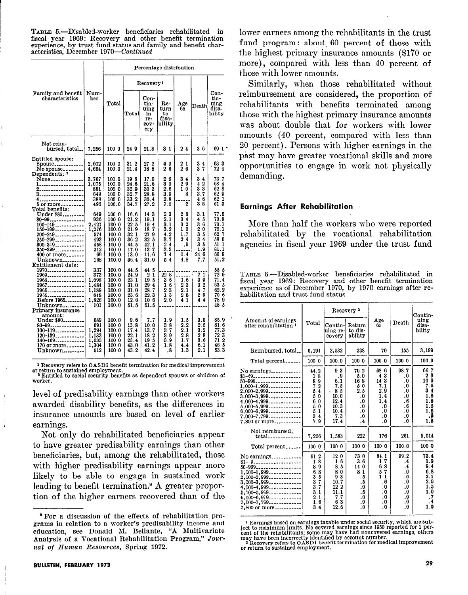TABLE 5.-Disabled-worker beneficiaries rehabilitated in fiscal year 1969: Recovery and other benefit termination experience, by trust fund status and family and benefit characteristics, December 1970-Continued

|                                       |              | Percentage distribution |              |                                                  |                                                |                                               |                                                               |                                         |  |
|---------------------------------------|--------------|-------------------------|--------------|--------------------------------------------------|------------------------------------------------|-----------------------------------------------|---------------------------------------------------------------|-----------------------------------------|--|
|                                       |              |                         |              | Recovery <sup>1</sup>                            |                                                |                                               |                                                               |                                         |  |
| Family and benefit<br>characteristics | Num-<br>ber  | Total                   | Total        | Con-<br>tin-<br>uing<br>in<br>re-<br>COV-<br>ery | Re-<br>turn<br>to<br>disa-<br>bility           | Age<br>65                                     | Death                                                         | Con-<br>tin-<br>uing<br>disa-<br>bility |  |
| Not reim-<br>bursed, total            | 7.256        | 100 0                   | 24.9         | 21.8                                             | 31                                             | 24                                            | 36                                                            | 69 1 °                                  |  |
| Entitled spouse:                      |              |                         |              |                                                  |                                                |                                               |                                                               |                                         |  |
| Spouse <sub>-----------</sub>         | 2,602        | 100 0<br>100.0          | 31 2<br>21.4 | 27.2<br>18.8                                     | 4.0<br>26                                      | $\begin{smallmatrix}2&1\2&6\end{smallmatrix}$ | $\begin{smallmatrix}3&4\3&7\end{smallmatrix}$                 | 63 3<br>724                             |  |
| No spouse<br>Dependents: 3            | 4,654        |                         |              |                                                  |                                                |                                               |                                                               |                                         |  |
| None <sub>-------------</sub>         | 3.767        | 100.0                   | 195          | 17.0                                             | $\begin{smallmatrix}2&5\3&0\end{smallmatrix}$  | 3.4                                           | 3<br>4                                                        | 73 7                                    |  |
| -----------------<br>2.               | 1,075<br>881 | 100.0<br>100 0          | 24.6<br>32.9 | 21.6<br>303                                      | 2.6                                            | 2.9<br>1.0                                    | 42<br>33                                                      | 684<br>628                              |  |
| 3.                                    | 649          | 100 0                   | 32.7         | 28.8                                             | 3.9                                            | .8                                            | 3.7                                                           | 629                                     |  |
| .                                     | 388          | 100 0                   | 33.2         | 30.4                                             | 2.8                                            |                                               | 46                                                            | 62 1                                    |  |
| 5 or more <sub>-------</sub>          | 496          | 100.0                   | 34.7         | 27.2                                             | 7.5                                            | $\cdot$ 2                                     | 38                                                            | 61.3                                    |  |
| Total benefits:<br>Under \$80         | 649          | 100 0                   | 16.6         | 143                                              |                                                | 2.8                                           | 3.1                                                           | 77.5                                    |  |
| 80-99                                 | 936          | 100 0                   | 21.2         | 19.1                                             | $\begin{smallmatrix}2&3\2&1\end{smallmatrix}$  | 34                                            | 45                                                            | 70.8                                    |  |
| $100 - 149$                           | 2,421        | 100 0                   | 22.5         | 194                                              | 3.1                                            | 3.2                                           | $\begin{smallmatrix} 3 & 6 \ 2 & 0 \ 3 & 5 \end{smallmatrix}$ | 70.7                                    |  |
| $150 - 199$                           | 1,276        | 100.0                   | 21.9         | 187                                              | 3.2                                            | 10                                            |                                                               | 75.1                                    |  |
| 200–249                               | 574          | 100.0                   | 32 1<br>36 2 | 279<br>32 <sub>5</sub>                           | 4.2<br>3.7                                     | 1,7<br>24                                     | $3\overline{4}$                                               | 62 7<br>58 0                            |  |
| 250-299<br>300-349                    | 493<br>458   | 100 0<br>100 0          | 44.5         | 42.1                                             |                                                | .9                                            | $\bar{3}$ . $\bar{5}$                                         | 51 1                                    |  |
| 350-399                               | 212          | 100 0                   | 17.0         | 137                                              | $\begin{smallmatrix}2&4\\3&3\end{smallmatrix}$ |                                               | 1.9                                                           | 81.1                                    |  |
| 400 or more                           | 69           | 100 0                   | 13.0         | 11.6                                             | 1<br>4                                         | 1.4                                           | 21.6                                                          | 609                                     |  |
| Unknown<br>Entitlement date:          | 168          | 100.0                   | 36.4         | 31.0                                             | 5<br>4                                         | 4.8                                           | 7.7                                                           | 51.2                                    |  |
| 1970                                  | 337          | 100.0                   | 44.5         | 44 5                                             |                                                |                                               |                                                               | 55 5                                    |  |
| 1969 <b>.</b>                         | 373          | 100.0                   | 24.9         | 2 <sub>1</sub>                                   | 22 8                                           |                                               | 2 <sub>1</sub>                                                | 72 9                                    |  |
| 1968                                  | 1,098        | 100.0                   | 23 1         | 195                                              | 36                                             | 1.6                                           | 39                                                            | 71.4                                    |  |
| 1967                                  | 1,484        | 100 0                   | 31.0         | 294                                              | 16                                             | 23                                            | 32                                                            | 63 5                                    |  |
| .<br>1966. <b>.</b>                   | 1,189<br>848 | 100.0<br>100.0          | 31.0<br>23.6 | 28.7<br>22.3                                     | 23<br>13                                       | 2.1<br>28                                     | 47<br>29                                                      | 62.2<br>70 6                            |  |
| 1935. <b>.</b><br>Before 1965         | 1,826        | 100.0                   | 12.6         | 106                                              | 2.0                                            | 41                                            | 44                                                            | 789                                     |  |
| Unknown                               | 101          | 100.0                   | 51.5         | 51.5                                             |                                                |                                               |                                                               | 48 5                                    |  |
| Primary insurance                     |              |                         |              |                                                  |                                                |                                               |                                                               |                                         |  |
| amount:<br>Under \$80                 | 689          | 100.0                   | 9.6          | 7.7                                              |                                                | 1.5                                           | 3.0                                                           | 85.9                                    |  |
| 80-99                                 | 691          | 100 0                   | 13.8         | 10.0                                             | 1.9<br>38                                      | 2, 2                                          | 2.5                                                           | 81.6                                    |  |
| $100 - 119$                           | 1,294        | 100.0                   | 17.4         | 13.7                                             | 3.7                                            | 2.1                                           | 3.2                                                           | 77.3                                    |  |
| $120 - 139$                           | 1,133        | 100 0                   | 22.1         | 18.2                                             | 3.9                                            | 2.8                                           | $\begin{smallmatrix} 2 & 8 \\ 3 & 6 \end{smallmatrix}$        | 72 3                                    |  |
| $140 - 169$                           | 1,633        | 100 0                   | 23.4<br>43.0 | 19 <sub>5</sub><br>41.2                          | 3.9<br>1.8                                     | 1.7<br>4.4                                    | 6.1                                                           | 71 2<br>46 5                            |  |
| 170 or more<br>Unknown                | 1,304<br>512 | 100 0<br>100 0          | 43.2         | 42.4                                             | .8                                             | 1.3                                           | 2.1                                                           | 53.3                                    |  |
|                                       |              |                         |              |                                                  |                                                |                                               |                                                               |                                         |  |

<sup>1</sup> Recovery refers to OASDI benefit termination for medical improvement or return to sustained employment.<br> **TEAR INTERENT SET IN SECUTE 2** Entitled to social security benefits as dependent spouses or children of

worker.

level of predisability earnings than other workers awarded disability benefits, as the differences in insurance amounts are based on level of earlier earnings.

Not only do rehabilitated beneficiaries appear to have greater predisability earnings than other beneficiaries, but, among the rehabilitated, those with higher predisability earnings appear more likely to be able to engage in sustained work leading to benefit termination.<sup>8</sup> A greater proportion of the higher earners recovered than of the

 $\overline{1}$ 

lower earners among the rehabilitants in the trust fund program: about 60 percent of those with the highest primary insurance amounts (\$170 or more), compared with less than 40 percent of those with lower amounts.

Similarly, when those rehabilitated without reimbursement are considered, the proportion of rehabilitants with benefits terminated among those with the highest primary insurance amounts was about double that for workers with lower amounts (40 percent, compared with less than 20 percent). Persons with higher earnings in the past may have greater vocational skills and more opportunities to engage in work not physically demanding.

## **Earnings After Rehabilitation**

More than half the workers who were reported rehabilitated by the vocational rehabilitation agencies in fiscal year 1969 under the trust fund

TABLE 6.—Disabled-worker beneficiaries rehabilitated in fiscal year 1969: Recovery and other benefit termination experience as of December 1970, by 1970 earnings after rehabilitation and trust fund status

|                                                                                                                                                                                                                               |                                                                            |                                                                                       | Recovery <sup>2</sup>                                                                       |                                                                               |                                                                                                        | Contin-                                                                                                  |
|-------------------------------------------------------------------------------------------------------------------------------------------------------------------------------------------------------------------------------|----------------------------------------------------------------------------|---------------------------------------------------------------------------------------|---------------------------------------------------------------------------------------------|-------------------------------------------------------------------------------|--------------------------------------------------------------------------------------------------------|----------------------------------------------------------------------------------------------------------|
| Amount of earnings<br>after rehabilitation <sup>1</sup>                                                                                                                                                                       | Total                                                                      | $Contin$ -<br>uing re-<br>covery                                                      | Return<br>to dis-<br>ability                                                                | Age<br>65                                                                     | Death                                                                                                  | uing<br>disa-<br>bility                                                                                  |
| Reimbursed, total                                                                                                                                                                                                             | 6,194                                                                      | 2,532                                                                                 | 238                                                                                         | 70                                                                            | 155                                                                                                    | 3,199                                                                                                    |
| Total percent                                                                                                                                                                                                                 | 100 0                                                                      | 100.0                                                                                 | 100 0                                                                                       | 100 0                                                                         | 100 0                                                                                                  | 100.0                                                                                                    |
| No earnings<br>$$1-49$<br>50-999<br>$1,000-1,999$<br>$2,000-2,999$ -------------<br>$3.000 - 3.999 - \ldots - \ldots - \ldots$<br>4.000-4,999<br>$5,000-5,999$<br>$6,000-6,999$ -------------<br>7,000-7,799<br>7.800 or more | 44.2<br>8<br>1<br>89<br>72<br>54<br>50<br>6.0<br>50<br>51<br>34<br>7.9     | 93<br>.9<br>6.1<br>7.5<br>85<br>10.0<br>12.4<br>10.3<br>10.4<br>7.3<br>17.4           | 70 2<br>5.0<br>16 8<br>50<br>2.5<br>$\overline{\mathbf{0}}$<br>.0<br>.0<br>.0<br>.0<br>.4   | 68 6<br>43<br>143<br>7.1<br>2.9<br>1.4<br>1.4<br>. n<br>.0<br>.0<br>. 0       | 98.7<br>.0<br>$\overline{\mathbf{0}}$<br>.0<br>. 0<br>.0<br>.6<br>.6<br>. 0<br>$\cdot$ 0<br>.0         | 667<br>23<br>10 9<br>7.5<br>34<br>1.8<br>1.8<br>1.5<br>$\begin{smallmatrix} 1.6 \ 1.8 \end{smallmatrix}$ |
| Not reimbursed.                                                                                                                                                                                                               | 7.256                                                                      | 1,583                                                                                 | 222                                                                                         | 176                                                                           | 261                                                                                                    | 5.014                                                                                                    |
| Total percent                                                                                                                                                                                                                 | 100 0                                                                      | 100 0                                                                                 | 100 0                                                                                       | 100 0                                                                         | 100.0                                                                                                  | 100 0                                                                                                    |
| No earnings<br>$$1-9$<br>50-999<br>$1,000-1,999$<br>$2,000-2,999$ -------------<br>$3,000-3,999$<br>$4,000-4,999$<br>$5.00 - 5.99 - 1.00 - 0.000$<br>$6,000-6,999$<br>$7,000 - 7,799$<br>7,800 or more                        | 61.2<br>8<br>1<br>89<br>6.8<br>35<br>37<br>3.7<br>3.1<br>2.1<br>1.6<br>3.4 | 120<br>1.6<br>8.5<br>80<br>93<br>10.7<br>12 <sub>2</sub><br>11.1<br>7.7<br>63<br>12.6 | 73 0<br>3.6<br>14 0<br>81<br>. 6<br>- 5<br>$\cdot$<br>.5<br>$\cdot$ 0<br>$\cdot$<br>$\cdot$ | 84.1<br>7<br>1<br>8<br>6<br>-7<br>5<br>11<br>.6<br>.0<br>.0<br>.0<br>0.<br>.0 | 99.2<br>.4<br>.4<br>.0<br>. 0<br>$\cdot$<br>.0<br>$\boldsymbol{0}$<br>.0<br>.0<br>$\cdot^{\mathrm{o}}$ | 73.4<br>1.9<br>9.4<br>6,8<br>2.1<br>2.0<br>1.5<br>1.0<br>.7<br>$\cdot$<br>1.0                            |

<sup>&</sup>lt;sup>1</sup> Earnings based on earnings taxable under social security, which are sub-Farmings based on earnings caracterized to maximum limits. No covered earnings since 1950 reported for 1 per-<br>cent of the rehabilitants: some may have had noncovered earnings, others<br>may have been incorrectly identified by

<sup>&</sup>lt;sup>8</sup> For a discussion of the effects of rehabilitation programs in relation to a worker's predisability income and education, see Donald M. Bellante, "A Multivariate Analysis of a Vocational Rehabilitation Program," Journal of Human Resources, Spring 1972.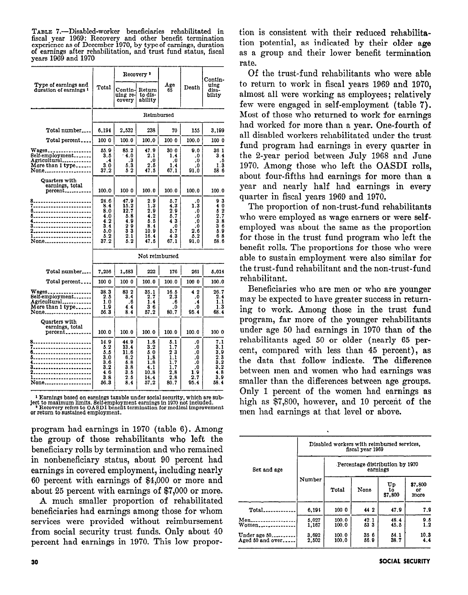TABLE 7.—Disabled-worker beneficiaries rehabilitated in fiscal year 1969: Recovery and other benefit termination experience as of December 1970, by type of carnings, duration of earnings after rehabilitation, and trust fund status, fiscal years 1969 and 1970

|                                                                        |                                                               |                                                                                                   | Recovery ?                                                     |                                                                                               |                                                                                                  | Contin-                                                                                               |
|------------------------------------------------------------------------|---------------------------------------------------------------|---------------------------------------------------------------------------------------------------|----------------------------------------------------------------|-----------------------------------------------------------------------------------------------|--------------------------------------------------------------------------------------------------|-------------------------------------------------------------------------------------------------------|
| Type of earnings and<br>duration of earnings <sup>1</sup>              | Total                                                         | Contin-<br>uing re-<br>covery                                                                     | Return<br>to dis-<br>ability                                   | Age<br>65                                                                                     | Death                                                                                            | uing<br>disa-<br>bilıty                                                                               |
|                                                                        |                                                               |                                                                                                   |                                                                | Reimbursed                                                                                    |                                                                                                  |                                                                                                       |
| Total number                                                           | 6.194                                                         | 2,532                                                                                             | 238                                                            | 70                                                                                            | 155                                                                                              | 3,199                                                                                                 |
| Total percent                                                          | 100 0                                                         | 100.0                                                                                             | 100.0                                                          | 100 0                                                                                         | 100.0                                                                                            | 100 0                                                                                                 |
| Wages_.<br>Self-employment<br>Agricultural<br>More than 1 type<br>None | 55.9<br>3.5<br>$\cdot$<br>3,0<br>37.2                         | 85.2<br>4.0<br>.3<br>5.3<br>52                                                                    | 47.9<br>2.1<br>$2.\overline{5}$<br>47.5                        | 30 0<br>1.4<br>1.4<br>67.1                                                                    | 9.0<br>.0<br>.0<br>$\boldsymbol{0}$<br>91.0                                                      | 36 1<br>3.4<br>. 5<br>1.3<br>58 6                                                                     |
| Quarters with<br>earnings, total<br>percent                            | 100.0                                                         | 100 0                                                                                             | 100.0                                                          | 100.0                                                                                         | 100.0                                                                                            | 100.0                                                                                                 |
| 8.<br><br><br>5.<br><br>----------------<br>None                       | 24.6<br>8.4<br>8.0<br>4.0<br>4.2<br>3.4<br>5.0<br>5.2<br>37.2 | 47.9<br>15.2<br>12.7<br>5.8<br>4.9<br>$\begin{smallmatrix}2&9\3&3\end{smallmatrix}$<br>2.1<br>5.2 | 2.9<br>1.3<br>2.9<br>4.2<br>5.5<br>8.4<br>10.9<br>16.4<br>47.5 | 5.7<br>4.3<br>2.9<br>5.7<br>43<br>$\cdot$<br>5.7<br>4.3<br>67.1                               | .0<br>1.3<br>$\boldsymbol{.0}$<br>${\bf .0}$<br>.0<br>$\boldsymbol{\cdot}$<br>2.6<br>5.2<br>91.0 | 93<br>4Ŏ<br>$\frac{5}{2}$ , $\frac{2}{3}$ , $\frac{7}{8}$<br>36<br>5.9<br>68<br>58.6                  |
|                                                                        |                                                               |                                                                                                   |                                                                | Not reimbursed                                                                                |                                                                                                  |                                                                                                       |
| Total number                                                           | 7,256                                                         | 1,583                                                                                             | 222                                                            | 176                                                                                           | 261                                                                                              | 5,014                                                                                                 |
| Total percent                                                          | 100 0                                                         | 100 0                                                                                             | 100.0                                                          | 100.0                                                                                         | 100 0                                                                                            | 100.0                                                                                                 |
| Wages<br>Self-employment<br>Agricultural<br>More than 1 type<br>None   | 38.3<br>2.5<br>1.0<br>1.9<br>56.3                             | 83 2<br>3,4<br>.6<br>4.4<br>8.4                                                                   | 35.1<br>2.7<br>1.4<br>36<br>57.2                               | 16.5<br>2.3<br>.6<br>.0<br>80.7                                                               | 42<br>.0<br>$\cdot$<br>.0<br>95.4                                                                | 26.7<br>2.4<br>1.1<br>1.3<br>68.4                                                                     |
| Quarters with<br>earnings, total<br>percent <sub>---------</sub>       | 100.0                                                         | 100.0                                                                                             | 100.0                                                          | 100.0                                                                                         | 100.0                                                                                            | 100 0                                                                                                 |
| 8.<br>6.<br><br>------------------<br><br>1.<br>None                   | 14.9<br>5.2<br>5.5<br>3.0<br>3.6<br>3,2<br>4.6<br>3.8<br>56.3 | 44.9<br>13.4<br>11.6<br>6.2<br>5.8<br>3.8<br>3.5<br>2.5<br>8,4                                    | 1.8<br>3.2<br>5.0<br>1,8<br>1.8<br>4.1<br>10.8<br>14.4<br>57.2 | 5.1<br>1.7<br>$2^{\degree}3$<br>ī.i<br>1,7<br>$\overline{1}$ . 7<br>$\frac{2.8}{2.8}$<br>80.7 | .0<br>0.<br>.0<br>.0<br>0,<br>.0<br>1.9<br>2.7<br>95.4                                           | 7.1<br>3.1<br>3,9<br>$\begin{smallmatrix} 2 & 3\ 3 & 2\ 3 & 2 \end{smallmatrix}$<br>48<br>3.9<br>58.4 |

 $^1$  Earnings based on earnings taxable under social security, which are subject to maximum limits. Self-employment earnings in 1970 not included.  $\hspace{0.1cm}^3$  Recovery refers to OASD1 benefit termination for medical imp

program had earnings in 1970 (table 6). Among the group of those rehabilitants who left the beneficiary rolls by termination and who remained in nonbeneficiary status, about 90 percent had earnings in covered employment, including nearly 60 percent with earnings of \$4,000 or more and about 25 percent with earnings of \$7,000 or more.

A much smaller proportion of rehabilitated beneficiaries had earnings among those for whom services were provided without reimbursement from social security trust funds. Only about 40 percent had earnings in 1970. This low proportion is consistent with their reduced rehabilitation potential, as indicated by their older age as a group and their lower benefit termination rate.

Of the trust-fund rehabilitants who were able to return to work in fiscal years 1969 and 1970. almost all were working as employees; relatively few were engaged in self-employment (table 7). Most of those who returned to work for earnings had worked for more than a year. One-fourth of all disabled workers rehabilitated under the trust fund program had earnings in every quarter in the 2-year period between July 1968 and June 1970. Among those who left the OASDI rolls, about four-fifths had earnings for more than a year and nearly half had earnings in every quarter in fiscal years 1969 and 1970.

The proportion of non-trust-fund rehabilitants who were employed as wage earners or were selfemployed was about the same as the proportion for those in the trust fund program who left the benefit rolls. The proportions for those who were able to sustain employment were also similar for the trust-fund rehabilitant and the non-trust-fund rehabilitant.

Beneficiaries who are men or who are younger may be expected to have greater success in returning to work. Among those in the trust fund program, far more of the younger rehabilitants under age 50 had earnings in 1970 than of the rehabilitants aged 50 or older (nearly 65 percent, compared with less than 45 percent), as the data that follow indicate. The difference between men and women who had earnings was smaller than the differences between age groups. Only 1 percent of the women had earnings as high as \$7,800, however, and 10 percent of the men had earnings at that level or above.

|                                   |                |                                             | Disabled workers with reimbursed services,<br>fiscal year 1969 |                     |                       |  |  |  |
|-----------------------------------|----------------|---------------------------------------------|----------------------------------------------------------------|---------------------|-----------------------|--|--|--|
| Sex and age                       |                | Percentage distribution by 1970<br>earnings |                                                                |                     |                       |  |  |  |
|                                   | Number         | Total                                       | None                                                           | Up<br>to<br>\$7,800 | \$7,800<br>or<br>more |  |  |  |
| Total.                            | 6,194          | 100 0                                       | 44 2                                                           | 47.9                | 7.9                   |  |  |  |
| Men<br>Women                      | 5.027<br>1,167 | 100.0<br>100.0                              | 42.1<br>53 3                                                   | 48.4<br>45.5        | 9.5<br>1.2            |  |  |  |
| Under age 50.<br>Aged 50 and over | 3.692<br>2,502 | 100.0<br>100.0                              | 35 6<br>56.9                                                   | 54.1<br>38.7        | 10.3<br>4.4           |  |  |  |